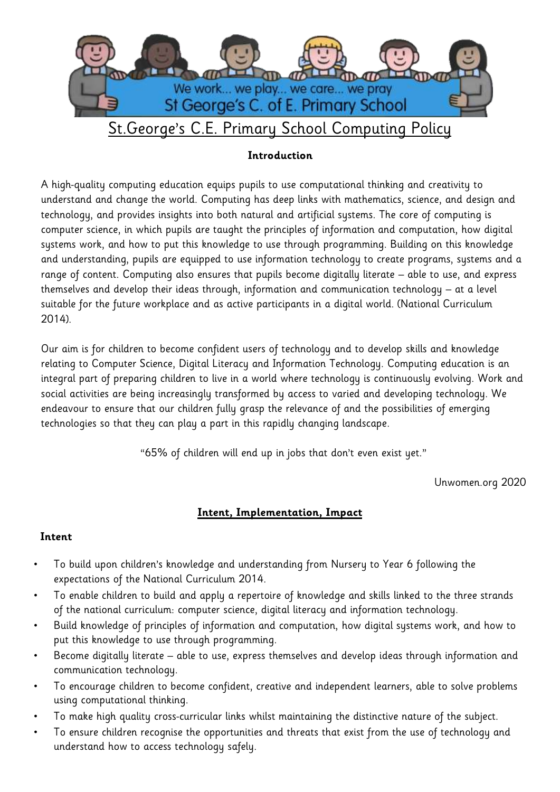

# St.George's C.E. Primary School Computing Policy

## **Introduction**

A high-quality computing education equips pupils to use computational thinking and creativity to understand and change the world. Computing has deep links with mathematics, science, and design and technology, and provides insights into both natural and artificial systems. The core of computing is computer science, in which pupils are taught the principles of information and computation, how digital systems work, and how to put this knowledge to use through programming. Building on this knowledge and understanding, pupils are equipped to use information technology to create programs, systems and a range of content. Computing also ensures that pupils become digitally literate – able to use, and express themselves and develop their ideas through, information and communication technology – at a level suitable for the future workplace and as active participants in a digital world. (National Curriculum 2014).

Our aim is for children to become confident users of technology and to develop skills and knowledge relating to Computer Science, Digital Literacy and Information Technology. Computing education is an integral part of preparing children to live in a world where technology is continuously evolving. Work and social activities are being increasingly transformed by access to varied and developing technology. We endeavour to ensure that our children fully grasp the relevance of and the possibilities of emerging technologies so that they can play a part in this rapidly changing landscape.

"65% of children will end up in jobs that don't even exist yet."

Unwomen.org 2020

## **Intent, Implementation, Impact**

#### **Intent**

- To build upon children's knowledge and understanding from Nursery to Year 6 following the expectations of the National Curriculum 2014.
- To enable children to build and apply a repertoire of knowledge and skills linked to the three strands of the national curriculum: computer science, digital literacy and information technology.
- Build knowledge of principles of information and computation, how digital systems work, and how to put this knowledge to use through programming.
- Become digitally literate able to use, express themselves and develop ideas through information and communication technology.
- To encourage children to become confident, creative and independent learners, able to solve problems using computational thinking.
- To make high quality cross-curricular links whilst maintaining the distinctive nature of the subject.
- To ensure children recognise the opportunities and threats that exist from the use of technology and understand how to access technology safely.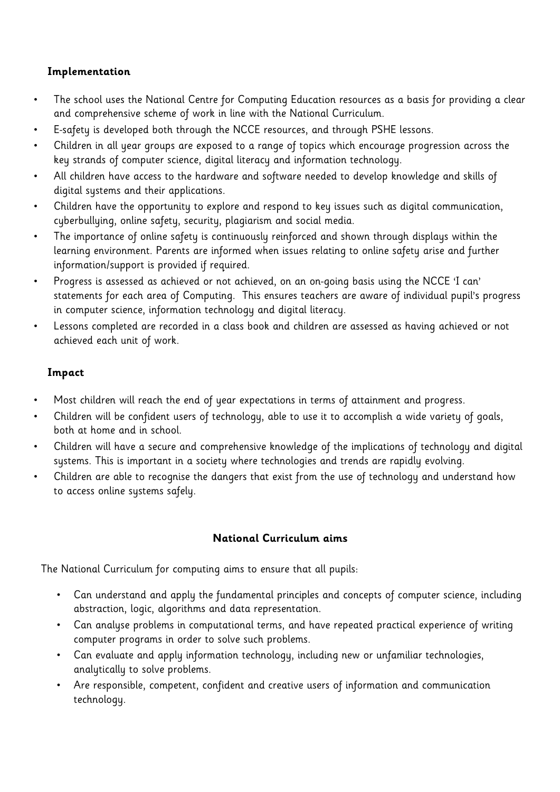### **Implementation**

- The school uses the National Centre for Computing Education resources as a basis for providing a clear and comprehensive scheme of work in line with the National Curriculum.
- E-safety is developed both through the NCCE resources, and through PSHE lessons.
- Children in all year groups are exposed to a range of topics which encourage progression across the key strands of computer science, digital literacy and information technology.
- All children have access to the hardware and software needed to develop knowledge and skills of digital systems and their applications.
- Children have the opportunity to explore and respond to key issues such as digital communication, cyberbullying, online safety, security, plagiarism and social media.
- The importance of online safety is continuously reinforced and shown through displays within the learning environment. Parents are informed when issues relating to online safety arise and further information/support is provided if required.
- Progress is assessed as achieved or not achieved, on an on-going basis using the NCCE 'I can' statements for each area of Computing. This ensures teachers are aware of individual pupil's progress in computer science, information technology and digital literacy.
- Lessons completed are recorded in a class book and children are assessed as having achieved or not achieved each unit of work.

## **Impact**

- Most children will reach the end of year expectations in terms of attainment and progress.
- Children will be confident users of technology, able to use it to accomplish a wide variety of goals, both at home and in school.
- Children will have a secure and comprehensive knowledge of the implications of technology and digital systems. This is important in a society where technologies and trends are rapidly evolving.
- Children are able to recognise the dangers that exist from the use of technology and understand how to access online systems safely.

#### **National Curriculum aims**

The National Curriculum for computing aims to ensure that all pupils:

- Can understand and apply the fundamental principles and concepts of computer science, including abstraction, logic, algorithms and data representation.
- Can analyse problems in computational terms, and have repeated practical experience of writing computer programs in order to solve such problems.
- Can evaluate and apply information technology, including new or unfamiliar technologies, analytically to solve problems.
- Are responsible, competent, confident and creative users of information and communication technology.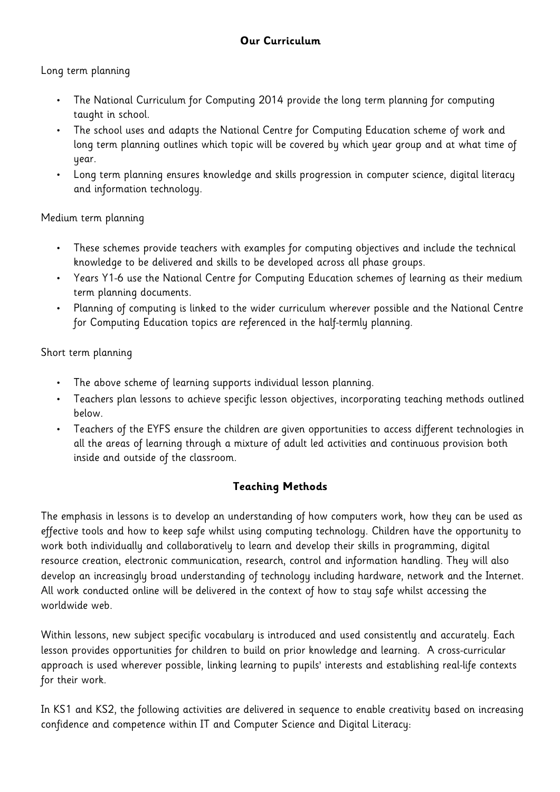## Long term planning

- The National Curriculum for Computing 2014 provide the long term planning for computing taught in school.
- The school uses and adapts the National Centre for Computing Education scheme of work and long term planning outlines which topic will be covered by which year group and at what time of year.
- Long term planning ensures knowledge and skills progression in computer science, digital literacy and information technology.

#### Medium term planning

- These schemes provide teachers with examples for computing objectives and include the technical knowledge to be delivered and skills to be developed across all phase groups.
- Years Y1-6 use the National Centre for Computing Education schemes of learning as their medium term planning documents.
- Planning of computing is linked to the wider curriculum wherever possible and the National Centre for Computing Education topics are referenced in the half-termly planning.

## Short term planning

- The above scheme of learning supports individual lesson planning.
- Teachers plan lessons to achieve specific lesson objectives, incorporating teaching methods outlined below.
- Teachers of the EYFS ensure the children are given opportunities to access different technologies in all the areas of learning through a mixture of adult led activities and continuous provision both inside and outside of the classroom.

## **Teaching Methods**

The emphasis in lessons is to develop an understanding of how computers work, how they can be used as effective tools and how to keep safe whilst using computing technology. Children have the opportunity to work both individually and collaboratively to learn and develop their skills in programming, digital resource creation, electronic communication, research, control and information handling. They will also develop an increasingly broad understanding of technology including hardware, network and the Internet. All work conducted online will be delivered in the context of how to stay safe whilst accessing the worldwide web.

Within lessons, new subject specific vocabulary is introduced and used consistently and accurately. Each lesson provides opportunities for children to build on prior knowledge and learning. A cross-curricular approach is used wherever possible, linking learning to pupils' interests and establishing real-life contexts for their work.

In KS1 and KS2, the following activities are delivered in sequence to enable creativity based on increasing confidence and competence within IT and Computer Science and Digital Literacy: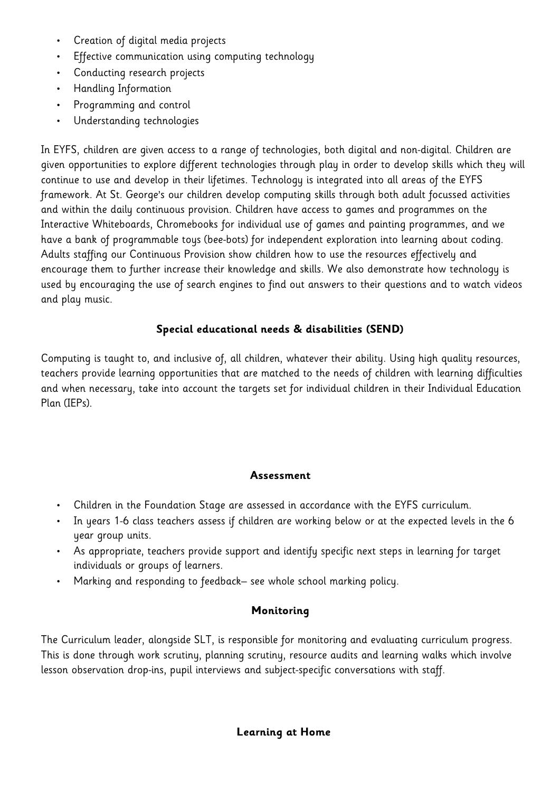- Creation of digital media projects
- Effective communication using computing technology
- Conducting research projects
- Handling Information
- Programming and control
- Understanding technologies

In EYFS, children are given access to a range of technologies, both digital and non-digital. Children are given opportunities to explore different technologies through play in order to develop skills which they will continue to use and develop in their lifetimes. Technology is integrated into all areas of the EYFS framework. At St. George's our children develop computing skills through both adult focussed activities and within the daily continuous provision. Children have access to games and programmes on the Interactive Whiteboards, Chromebooks for individual use of games and painting programmes, and we have a bank of programmable toys (bee-bots) for independent exploration into learning about coding. Adults staffing our Continuous Provision show children how to use the resources effectively and encourage them to further increase their knowledge and skills. We also demonstrate how technology is used by encouraging the use of search engines to find out answers to their questions and to watch videos and play music.

## **Special educational needs & disabilities (SEND)**

Computing is taught to, and inclusive of, all children, whatever their ability. Using high quality resources, teachers provide learning opportunities that are matched to the needs of children with learning difficulties and when necessary, take into account the targets set for individual children in their Individual Education Plan (IEPs).

#### **Assessment**

- Children in the Foundation Stage are assessed in accordance with the EYFS curriculum.
- In years 1-6 class teachers assess if children are working below or at the expected levels in the 6 year group units.
- As appropriate, teachers provide support and identify specific next steps in learning for target individuals or groups of learners.
- Marking and responding to feedback– see whole school marking policy.

#### **Monitoring**

The Curriculum leader, alongside SLT, is responsible for monitoring and evaluating curriculum progress. This is done through work scrutiny, planning scrutiny, resource audits and learning walks which involve lesson observation drop-ins, pupil interviews and subject-specific conversations with staff.